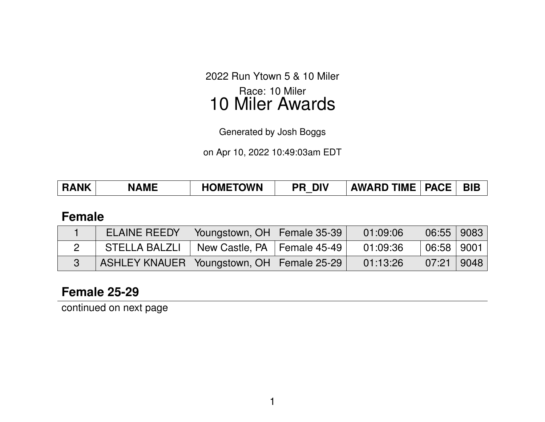2022 Run Ytown 5 & 10 Miler Race: 10 Miler 10 Miler Awards

Generated by Josh Boggs

on Apr 10, 2022 10:49:03am EDT

| AWARD TIME   PACE   BIB  <br><b>HOMETOWN</b><br><b>RANK</b><br><b>DIV</b><br><b>NAME</b><br><b>PR</b> |  |
|-------------------------------------------------------------------------------------------------------|--|
|-------------------------------------------------------------------------------------------------------|--|

#### **Female**

| <b>ELAINE REEDY</b>                           | Voungstown, OH   Female 35-39 | 01:09:06 | $06:55$   9083 |  |
|-----------------------------------------------|-------------------------------|----------|----------------|--|
| STELLA BALZLI                                 | New Castle, PA   Female 45-49 | 01:09:36 | $06:58$   9001 |  |
| ASHLEY KNAUER   Youngstown, OH   Female 25-29 |                               | 01:13:26 | $07:21$   9048 |  |

### **Female 25-29**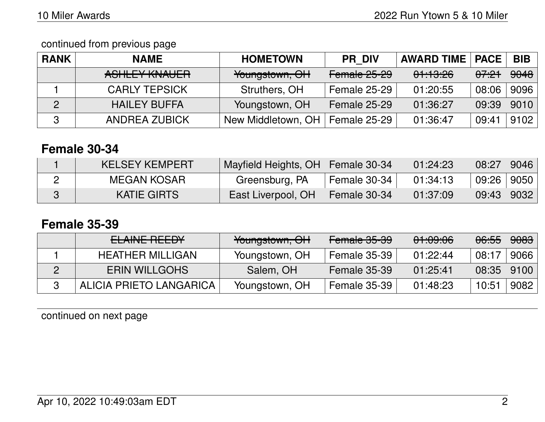| <b>RANK</b> | <b>NAME</b>          | <b>HOMETOWN</b>    | <b>PR DIV</b>       | <b>AWARD TIME   PACE</b> |                  | <b>BIB</b> |
|-------------|----------------------|--------------------|---------------------|--------------------------|------------------|------------|
|             | ASHLEY KNAUER        | Youngstown, OH     | Female 25-29        | 01:13:26                 | <del>07:21</del> | 9048       |
|             | <b>CARLY TEPSICK</b> | Struthers, OH      | Female 25-29        | 01:20:55                 | 08:06            | 9096       |
| 2           | <b>HAILEY BUFFA</b>  | Youngstown, OH     | <b>Female 25-29</b> | 01:36:27                 | 09:39            | 9010       |
| 3           | <b>ANDREA ZUBICK</b> | New Middletown, OH | <b>Female 25-29</b> | 01:36:47                 | 09:41            | 9102       |

### **Female 30-34**

| KELSEY KEMPERT     | Mayfield Heights, OH   Female 30-34 |              | 01:24:23 | 08:27        | 9046 |
|--------------------|-------------------------------------|--------------|----------|--------------|------|
| MEGAN KOSAR        | Greensburg, PA                      | Female 30-34 | 01:34:13 | 09:26   9050 |      |
| <b>KATIE GIRTS</b> | East Liverpool, OH                  | Female 30-34 | 01:37:09 | 09:43        | 9032 |

#### **Female 35-39**

| ELAINE REEDY            | Youngstown, OH | Female 35-39        | 01:09:06 | <del>06:55</del> | <del>9083</del> |
|-------------------------|----------------|---------------------|----------|------------------|-----------------|
| <b>HEATHER MILLIGAN</b> | Youngstown, OH | Female 35-39        | 01:22:44 | 08:17            | 9066            |
| <b>ERIN WILLGOHS</b>    | Salem, OH      | <b>Female 35-39</b> | 01:25:41 | 08:35            | 9100            |
| ALICIA PRIETO LANGARICA | Youngstown, OH | Female 35-39        | 01:48:23 | 10:51            | 9082            |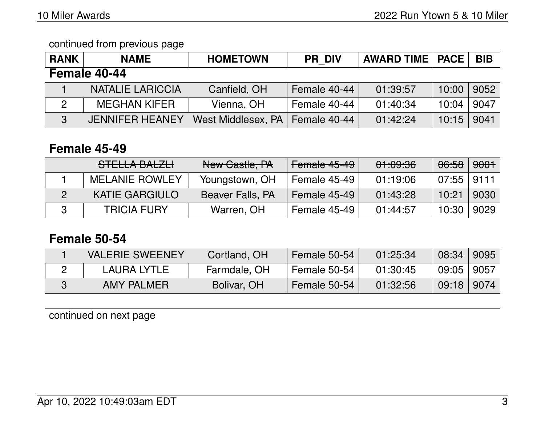| <b>RANK</b>   | <b>NAME</b>             | <b>HOMETOWN</b>    | <b>PR DIV</b> | <b>AWARD TIME   PACE</b> |       | <b>BIB</b> |
|---------------|-------------------------|--------------------|---------------|--------------------------|-------|------------|
|               | Female 40-44            |                    |               |                          |       |            |
|               | <b>NATALIE LARICCIA</b> | Canfield, OH       | Female 40-44  | 01:39:57                 | 10:00 | 9052       |
| $\mathcal{P}$ | <b>MEGHAN KIFER</b>     | Vienna, OH         | Female 40-44  | 01:40:34                 | 10:04 | 9047       |
| 3             | <b>JENNIFER HEANEY</b>  | West Middlesex, PA | Female 40-44  | 01:42:24                 | 10:15 | 9041       |

### **Female 45-49**

| [<br><u>JILLLA DALZLI</u> | New Castle, PA          | Female 45-49 | 01:09:36 | <del>06:58</del> | <del>9001</del> ⊣ |
|---------------------------|-------------------------|--------------|----------|------------------|-------------------|
| <b>MELANIE ROWLEY</b>     | Youngstown, OH          | Female 45-49 | 01:19:06 | $07:55$   9111   |                   |
| <b>KATIE GARGIULO</b>     | <b>Beaver Falls, PA</b> | Female 45-49 | 01:43:28 | 10:21            | 9030              |
| <b>TRICIA FURY</b>        | Warren, OH              | Female 45-49 | 01:44:57 | 10:30            | 9029              |

## **Female 50-54**

| <b>VALERIE SWEENEY</b> | Cortland, OH | Female 50-54 | 01:25:34 | 08:34 | 9095 |
|------------------------|--------------|--------------|----------|-------|------|
| LAURA LYTLE            | Farmdale, OH | Female 50-54 | 01:30:45 | 09:05 | 9057 |
| <b>AMY PALMER</b>      | Bolivar, OH  | Female 50-54 | 01:32:56 | 09:18 | 9074 |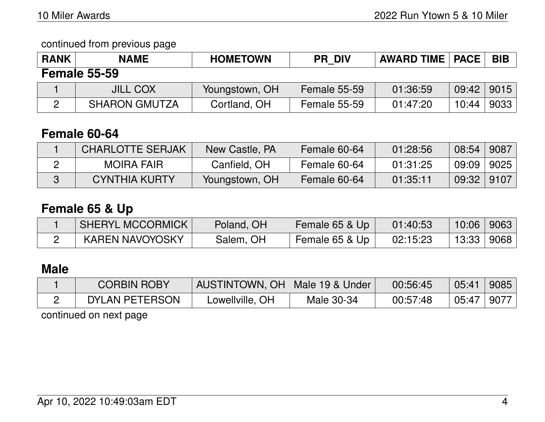| <b>RANK</b> | <b>NAME</b>          | <b>HOMETOWN</b> | <b>PR DIV</b>       | <b>AWARD TIME   PACE</b> |       | <b>BIB</b> |
|-------------|----------------------|-----------------|---------------------|--------------------------|-------|------------|
|             | <b>Female 55-59</b>  |                 |                     |                          |       |            |
|             | <b>JILL COX</b>      | Youngstown, OH  | <b>Female 55-59</b> | 01:36:59                 | 09:42 | 9015       |
|             | <b>SHARON GMUTZA</b> | Cortland, OH    | <b>Female 55-59</b> | 01:47:20                 | 10:44 | 9033       |

## **Female 60-64**

| <b>CHARLOTTE SERJAK</b> | New Castle, PA | Female 60-64 | 01:28:56 | 08:54 | 9087 |
|-------------------------|----------------|--------------|----------|-------|------|
| <b>MOIRA FAIR</b>       | Canfield, OH   | Female 60-64 | 01:31:25 | 09:09 | 9025 |
| <b>CYNTHIA KURTY</b>    | Youngstown, OH | Female 60-64 | 01:35:11 | 09:32 | 9107 |

# **Female 65 & Up**

| SHERYL MCCORMICK       | Poland, OH | Female 65 & Up | 01:40:53 | $10:06$   9063 |  |
|------------------------|------------|----------------|----------|----------------|--|
| <b>KAREN NAVOYOSKY</b> | Salem, OH  | Female 65 & Up | 02:15:23 | 13:33 9068     |  |

# **Male**

| CORBIN ROBY    | AUSTINTOWN, OH   Male 19 & Under |            | 00:56:45 | 05:41 | 9085 |
|----------------|----------------------------------|------------|----------|-------|------|
| DYLAN PETERSON | Lowellville, OH                  | Male 30-34 | 00:57:48 | 05:47 | 9077 |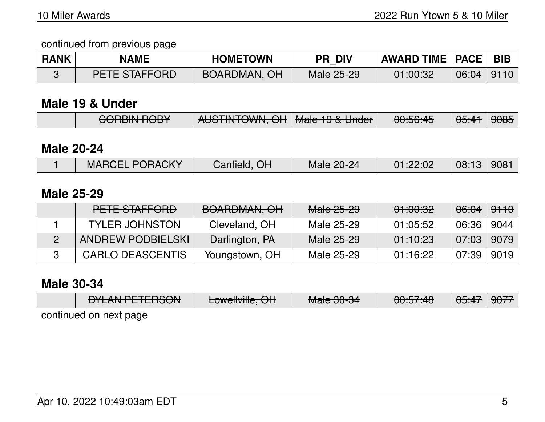| <b>RANK</b> | <b>NAME</b>          | <b>HOMETOWN</b> | <b>PR DIV</b> | AWARD TIME   PACE   BIB |                |  |
|-------------|----------------------|-----------------|---------------|-------------------------|----------------|--|
|             | <b>PETE STAFFORD</b> | BOARDMAN, OH    | Male 25-29    | 01:00:32                | $06:04$   9110 |  |

#### **Male 19 & Under**

|  | CODDINI DODV<br><del>TUUN NUUTUU</del> | ALICTINITOMMI OLI Mole 10 0 Lleder<br>$\sqrt{100}$ TINTOWN, OIT Miaic TJ & UNCT |  | $\bigcap \bigcup C$ . A<br><del>UU.JU.TJ</del> | $\triangle$ $\triangle$ $\triangle$ $\triangle$ $\triangle$ $\triangle$<br>ण्णः सा | <del>9085</del> |
|--|----------------------------------------|---------------------------------------------------------------------------------|--|------------------------------------------------|------------------------------------------------------------------------------------|-----------------|
|--|----------------------------------------|---------------------------------------------------------------------------------|--|------------------------------------------------|------------------------------------------------------------------------------------|-----------------|

#### **Male 20-24**

|  | <b>MARCEL PORACKY</b> | Canfield, OH | Male 20-24 | 01:22:02 | 08:13 | 908 |
|--|-----------------------|--------------|------------|----------|-------|-----|
|--|-----------------------|--------------|------------|----------|-------|-----|

#### **Male 25-29**

| <u>DETE CTAEFODD</u><br>TETE JIAH UNU | DOADDMAAN OLL<br><u>TUMMINI, UT</u> | Male 25-29 | <del>01:00:32</del> | <del>06:04</del> | <del>9110</del> |
|---------------------------------------|-------------------------------------|------------|---------------------|------------------|-----------------|
| <b>TYLER JOHNSTON</b>                 | Cleveland, OH                       | Male 25-29 | 01:05:52            | 06:36            | 9044            |
| <b>ANDREW PODBIELSKI</b>              | Darlington, PA                      | Male 25-29 | 01:10:23            | 07:03            | 9079            |
| <b>CARLO DEASCENTIS</b>               | Youngstown, OH                      | Male 25-29 | 01:16:22            | 07:39            | 9019            |

### **Male 30-34**

|                        | <b>NIL AN DETEDOONI</b> |                         | $M = 0.004$           | 0.57.40             | $\Delta$ E.A.      | $\triangle$ $\triangle$ $\overline{z}$ |  |  |  |
|------------------------|-------------------------|-------------------------|-----------------------|---------------------|--------------------|----------------------------------------|--|--|--|
|                        | <u>UTLANT LILITOUN</u>  | <b>LUWCIIVIIIC, UTT</b> | <del>Maic JU-J4</del> | <del>00.07.40</del> | 00. <del>4</del> 7 | 3011                                   |  |  |  |
| continued on novt nago |                         |                         |                       |                     |                    |                                        |  |  |  |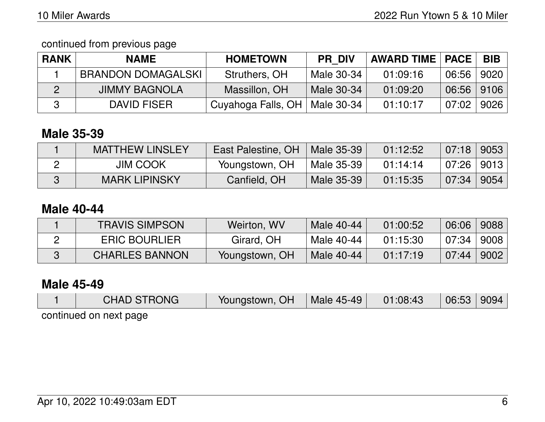continued from previous page

| <b>RANK</b> | <b>NAME</b>               | <b>HOMETOWN</b>                 | <b>PR DIV</b> | <b>AWARD TIME   PACE</b> |              | <b>BIB</b> |
|-------------|---------------------------|---------------------------------|---------------|--------------------------|--------------|------------|
|             | <b>BRANDON DOMAGALSKI</b> | Struthers, OH                   | Male 30-34    | 01:09:16                 | 06:56        | 9020       |
|             | <b>JIMMY BAGNOLA</b>      | Massillon, OH                   | Male 30-34    | 01:09:20                 | 06:56   9106 |            |
|             | DAVID FISER               | Cuyahoga Falls, OH   Male 30-34 |               | 01:10:17                 | 07:02        | 9026       |

# **Male 35-39**

| <b>MATTHEW LINSLEY</b> | East Palestine, OH   Male 35-39 |            | 01:12:52 | $07:18$   9053 |      |
|------------------------|---------------------------------|------------|----------|----------------|------|
| <b>JIM COOK</b>        | Youngstown, OH                  | Male 35-39 | 01:14:14 | $07:26$   9013 |      |
| <b>MARK LIPINSKY</b>   | Canfield, OH                    | Male 35-39 | 01:15:35 | 07:34          | 9054 |

## **Male 40-44**

| <b>TRAVIS SIMPSON</b> | Weirton, WV    | Male 40-44 | 01:00:52 | 06:06 | 9088 |
|-----------------------|----------------|------------|----------|-------|------|
| <b>ERIC BOURLIER</b>  | Girard, OH     | Male 40-44 | 01:15:30 | 07:34 | 9008 |
| <b>CHARLES BANNON</b> | Youngstown, OH | Male 40-44 | 01:17:19 | 07:44 | 9002 |

#### **Male 45-49**

| <b>CHAD STRONG</b>     | Youngstown, OH | Male 45-49 | 01:08:43 | 06:53 | 9094 |
|------------------------|----------------|------------|----------|-------|------|
| continued on next page |                |            |          |       |      |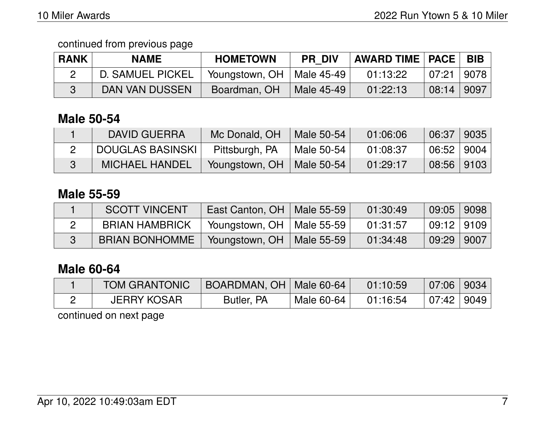| <b>RANK</b> | <b>NAME</b>             | <b>HOMETOWN</b>             | <b>PR DIV</b> | <b>AWARD TIME   PACE  </b> |              | <b>BIB</b> |
|-------------|-------------------------|-----------------------------|---------------|----------------------------|--------------|------------|
|             | <b>D. SAMUEL PICKEL</b> | Youngstown, OH   Male 45-49 |               | 01:13:22                   | 07:21   9078 |            |
|             | DAN VAN DUSSEN          | Boardman, OH                | Male 45-49    | 01:22:13                   | 08:14   9097 |            |

## **Male 50-54**

| DAVID GUERRA            | Mc Donald, OH  | Male 50-54   | 01:06:06 | 06:37   9035 |  |
|-------------------------|----------------|--------------|----------|--------------|--|
| <b>DOUGLAS BASINSKI</b> | Pittsburgh, PA | ' Male 50-54 | 01:08:37 | 06:52   9004 |  |
| <b>MICHAEL HANDEL</b>   | Youngstown, OH | Male 50-54   | 01:29:17 | 08:56   9103 |  |

### **Male 55-59**

| <b>SCOTT VINCENT</b>  | East Canton, OH | Male 55-59 | 01:30:49 | $09:05$   9098   |  |
|-----------------------|-----------------|------------|----------|------------------|--|
| <b>BRIAN HAMBRICK</b> | Youngstown, OH  | Male 55-59 | 01:31:57 | │09:12 │9109 │   |  |
| <b>BRIAN BONHOMME</b> | Youngstown, OH  | Male 55-59 | 01:34:48 | $09:29$   $9007$ |  |

## **Male 60-64**

| <b>TOM GRANTONIC</b> | BOARDMAN, OH   Male 60-64 |            | 01:10:59 | $07:06$ 9034 |  |
|----------------------|---------------------------|------------|----------|--------------|--|
| <b>JERRY KOSAR</b>   | Butler, PA                | Male 60-64 | 01:16:54 | 07:42   9049 |  |